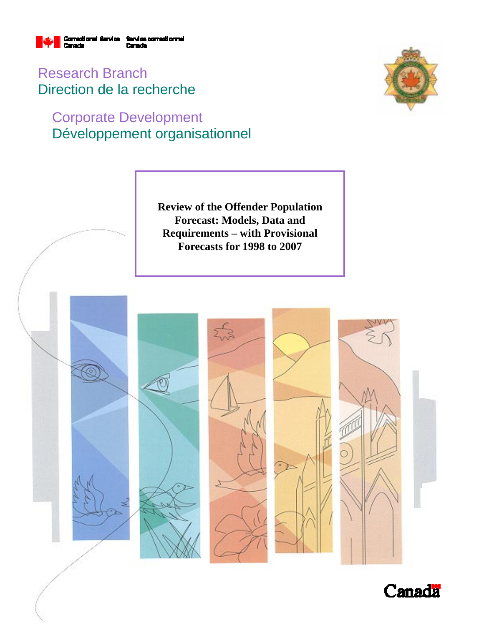

Research Branch Direction de la recherche

# Corporate Development Développement organisationnel





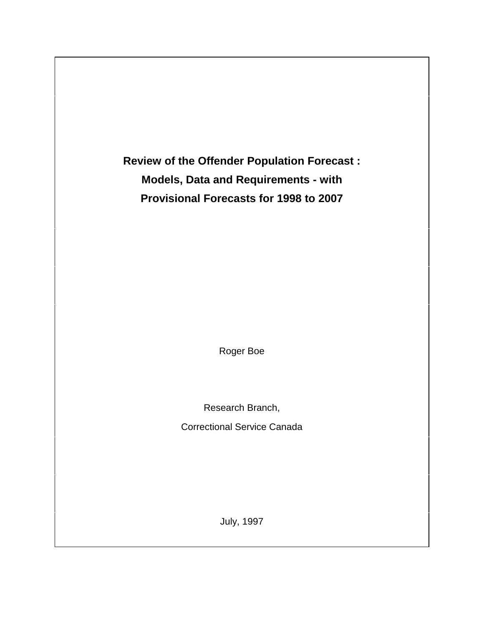**Review of the Offender Population Forecast : Models, Data and Requirements - with Provisional Forecasts for 1998 to 2007**

Roger Boe

Research Branch,

Correctional Service Canada

July, 1997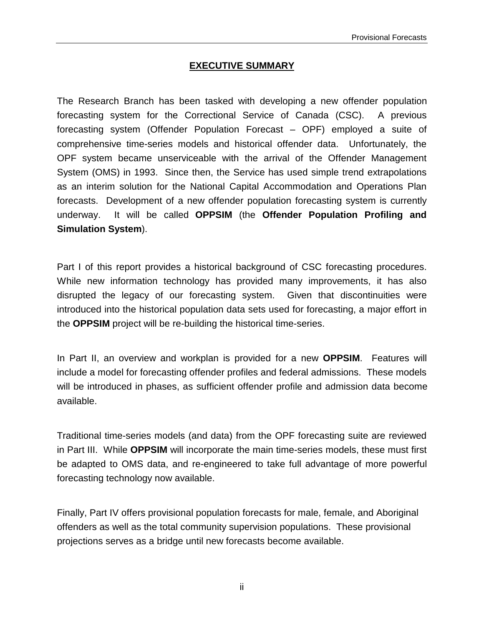### **EXECUTIVE SUMMARY**

The Research Branch has been tasked with developing a new offender population forecasting system for the Correctional Service of Canada (CSC). A previous forecasting system (Offender Population Forecast – OPF) employed a suite of comprehensive time-series models and historical offender data. Unfortunately, the OPF system became unserviceable with the arrival of the Offender Management System (OMS) in 1993. Since then, the Service has used simple trend extrapolations as an interim solution for the National Capital Accommodation and Operations Plan forecasts. Development of a new offender population forecasting system is currently underway. It will be called **OPPSIM** (the **Offender Population Profiling and Simulation System**).

Part I of this report provides a historical background of CSC forecasting procedures. While new information technology has provided many improvements, it has also disrupted the legacy of our forecasting system. Given that discontinuities were introduced into the historical population data sets used for forecasting, a major effort in the **OPPSIM** project will be re-building the historical time-series.

In Part II, an overview and workplan is provided for a new **OPPSIM**. Features will include a model for forecasting offender profiles and federal admissions. These models will be introduced in phases, as sufficient offender profile and admission data become available.

Traditional time-series models (and data) from the OPF forecasting suite are reviewed in Part III. While **OPPSIM** will incorporate the main time-series models, these must first be adapted to OMS data, and re-engineered to take full advantage of more powerful forecasting technology now available.

Finally, Part IV offers provisional population forecasts for male, female, and Aboriginal offenders as well as the total community supervision populations. These provisional projections serves as a bridge until new forecasts become available.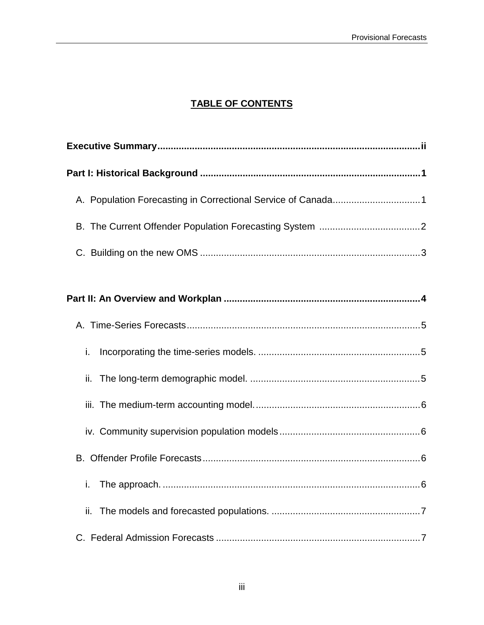# **TABLE OF CONTENTS**

| i.  |
|-----|
| ii. |
|     |
|     |
|     |
| i.  |
| ii. |
|     |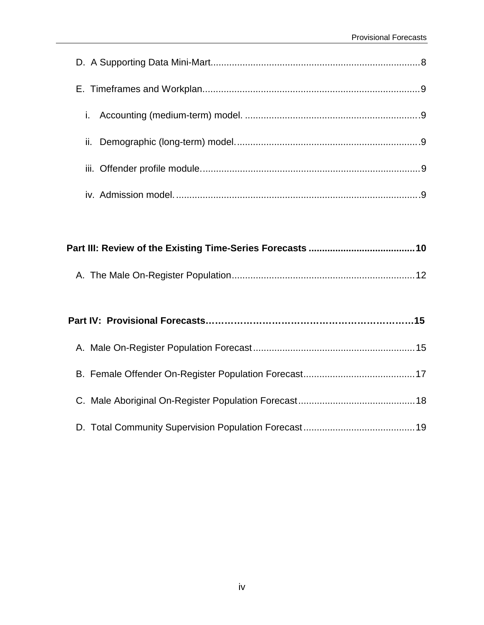|--|--|--|--|--|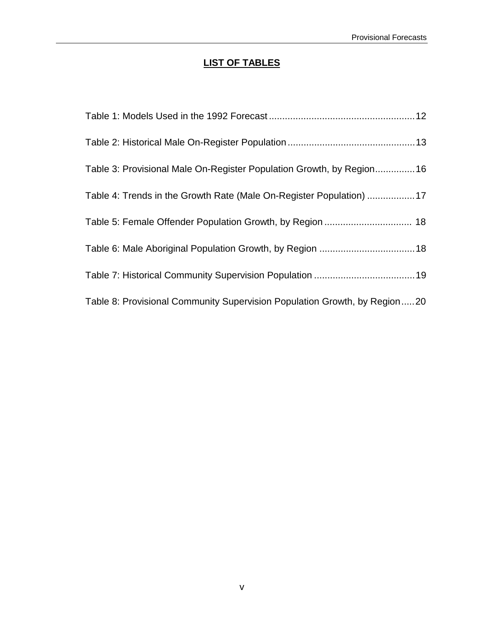# **LIST OF TABLES**

| Table 3: Provisional Male On-Register Population Growth, by Region16      |  |
|---------------------------------------------------------------------------|--|
| Table 4: Trends in the Growth Rate (Male On-Register Population) 17       |  |
| Table 5: Female Offender Population Growth, by Region  18                 |  |
|                                                                           |  |
|                                                                           |  |
| Table 8: Provisional Community Supervision Population Growth, by Region20 |  |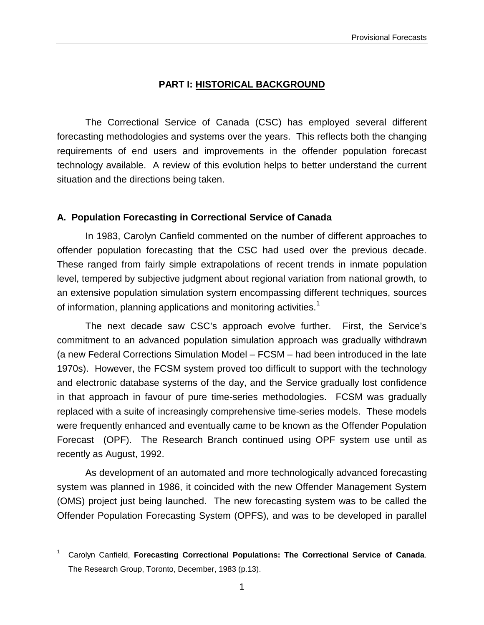# **PART I: HISTORICAL BACKGROUND**

The Correctional Service of Canada (CSC) has employed several different forecasting methodologies and systems over the years. This reflects both the changing requirements of end users and improvements in the offender population forecast technology available. A review of this evolution helps to better understand the current situation and the directions being taken.

# **A. Population Forecasting in Correctional Service of Canada**

In 1983, Carolyn Canfield commented on the number of different approaches to offender population forecasting that the CSC had used over the previous decade. These ranged from fairly simple extrapolations of recent trends in inmate population level, tempered by subjective judgment about regional variation from national growth, to an extensive population simulation system encompassing different techniques, sources of information, planning applications and monitoring activities.<sup>1</sup>

The next decade saw CSC's approach evolve further. First, the Service's commitment to an advanced population simulation approach was gradually withdrawn (a new Federal Corrections Simulation Model – FCSM – had been introduced in the late 1970s). However, the FCSM system proved too difficult to support with the technology and electronic database systems of the day, and the Service gradually lost confidence in that approach in favour of pure time-series methodologies. FCSM was gradually replaced with a suite of increasingly comprehensive time-series models. These models were frequently enhanced and eventually came to be known as the Offender Population Forecast (OPF). The Research Branch continued using OPF system use until as recently as August, 1992.

As development of an automated and more technologically advanced forecasting system was planned in 1986, it coincided with the new Offender Management System (OMS) project just being launched. The new forecasting system was to be called the Offender Population Forecasting System (OPFS), and was to be developed in parallel

 $\overline{a}$ 

<sup>1</sup> Carolyn Canfield, **Forecasting Correctional Populations: The Correctional Service of Canada**. The Research Group, Toronto, December, 1983 (p.13).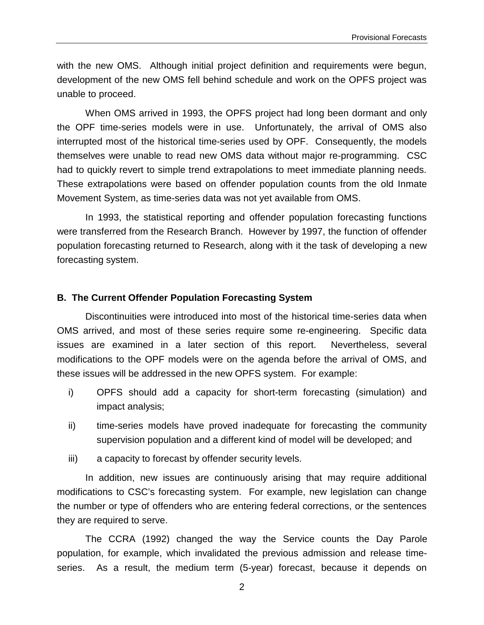with the new OMS. Although initial project definition and requirements were begun, development of the new OMS fell behind schedule and work on the OPFS project was unable to proceed.

When OMS arrived in 1993, the OPFS project had long been dormant and only the OPF time-series models were in use. Unfortunately, the arrival of OMS also interrupted most of the historical time-series used by OPF. Consequently, the models themselves were unable to read new OMS data without major re-programming. CSC had to quickly revert to simple trend extrapolations to meet immediate planning needs. These extrapolations were based on offender population counts from the old Inmate Movement System, as time-series data was not yet available from OMS.

In 1993, the statistical reporting and offender population forecasting functions were transferred from the Research Branch. However by 1997, the function of offender population forecasting returned to Research, along with it the task of developing a new forecasting system.

#### **B. The Current Offender Population Forecasting System**

Discontinuities were introduced into most of the historical time-series data when OMS arrived, and most of these series require some re-engineering. Specific data issues are examined in a later section of this report. Nevertheless, several modifications to the OPF models were on the agenda before the arrival of OMS, and these issues will be addressed in the new OPFS system. For example:

- i) OPFS should add a capacity for short-term forecasting (simulation) and impact analysis;
- ii) time-series models have proved inadequate for forecasting the community supervision population and a different kind of model will be developed; and
- iii) a capacity to forecast by offender security levels.

In addition, new issues are continuously arising that may require additional modifications to CSC's forecasting system. For example, new legislation can change the number or type of offenders who are entering federal corrections, or the sentences they are required to serve.

The CCRA (1992) changed the way the Service counts the Day Parole population, for example, which invalidated the previous admission and release timeseries. As a result, the medium term (5-year) forecast, because it depends on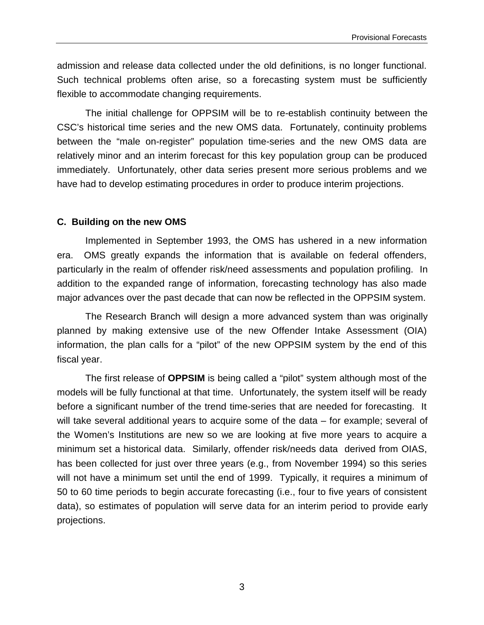admission and release data collected under the old definitions, is no longer functional. Such technical problems often arise, so a forecasting system must be sufficiently flexible to accommodate changing requirements.

The initial challenge for OPPSIM will be to re-establish continuity between the CSC's historical time series and the new OMS data. Fortunately, continuity problems between the "male on-register" population time-series and the new OMS data are relatively minor and an interim forecast for this key population group can be produced immediately. Unfortunately, other data series present more serious problems and we have had to develop estimating procedures in order to produce interim projections.

### **C. Building on the new OMS**

Implemented in September 1993, the OMS has ushered in a new information era. OMS greatly expands the information that is available on federal offenders, particularly in the realm of offender risk/need assessments and population profiling. In addition to the expanded range of information, forecasting technology has also made major advances over the past decade that can now be reflected in the OPPSIM system.

The Research Branch will design a more advanced system than was originally planned by making extensive use of the new Offender Intake Assessment (OIA) information, the plan calls for a "pilot" of the new OPPSIM system by the end of this fiscal year.

The first release of **OPPSIM** is being called a "pilot" system although most of the models will be fully functional at that time. Unfortunately, the system itself will be ready before a significant number of the trend time-series that are needed for forecasting. It will take several additional years to acquire some of the data – for example; several of the Women's Institutions are new so we are looking at five more years to acquire a minimum set a historical data. Similarly, offender risk/needs data derived from OIAS, has been collected for just over three years (e.g., from November 1994) so this series will not have a minimum set until the end of 1999. Typically, it requires a minimum of 50 to 60 time periods to begin accurate forecasting (i.e., four to five years of consistent data), so estimates of population will serve data for an interim period to provide early projections.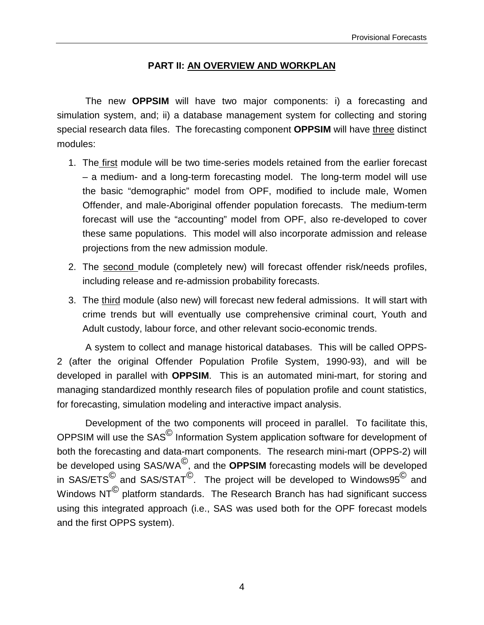### **PART II: AN OVERVIEW AND WORKPLAN**

The new **OPPSIM** will have two major components: i) a forecasting and simulation system, and; ii) a database management system for collecting and storing special research data files. The forecasting component **OPPSIM** will have three distinct modules:

- 1. The first module will be two time-series models retained from the earlier forecast – a medium- and a long-term forecasting model. The long-term model will use the basic "demographic" model from OPF, modified to include male, Women Offender, and male-Aboriginal offender population forecasts. The medium-term forecast will use the "accounting" model from OPF, also re-developed to cover these same populations. This model will also incorporate admission and release projections from the new admission module.
- 2. The second module (completely new) will forecast offender risk/needs profiles, including release and re-admission probability forecasts.
- 3. The third module (also new) will forecast new federal admissions. It will start with crime trends but will eventually use comprehensive criminal court, Youth and Adult custody, labour force, and other relevant socio-economic trends.

A system to collect and manage historical databases. This will be called OPPS-2 (after the original Offender Population Profile System, 1990-93), and will be developed in parallel with **OPPSIM**. This is an automated mini-mart, for storing and managing standardized monthly research files of population profile and count statistics, for forecasting, simulation modeling and interactive impact analysis.

Development of the two components will proceed in parallel. To facilitate this, OPPSIM will use the SAS© Information System application software for development of both the forecasting and data-mart components. The research mini-mart (OPPS-2) will be developed using SAS/WA©, and the **OPPSIM** forecasting models will be developed in SAS/ETS<sup>©</sup> and SAS/STAT<sup>©</sup>. The project will be developed to Windows95<sup>©</sup> and Windows NT<sup>©</sup> platform standards. The Research Branch has had significant success using this integrated approach (i.e., SAS was used both for the OPF forecast models and the first OPPS system).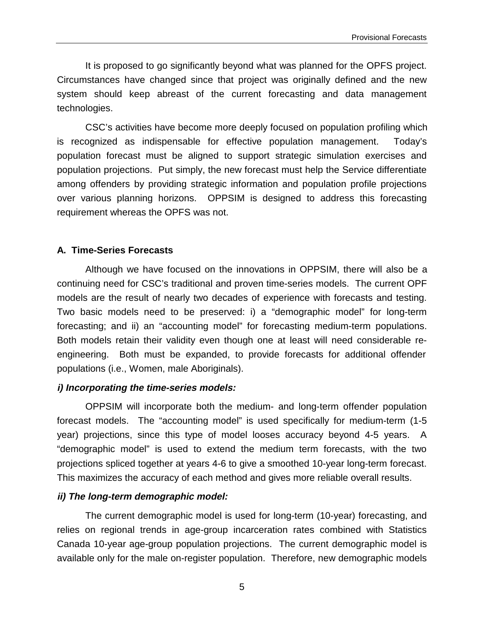It is proposed to go significantly beyond what was planned for the OPFS project. Circumstances have changed since that project was originally defined and the new system should keep abreast of the current forecasting and data management technologies.

CSC's activities have become more deeply focused on population profiling which is recognized as indispensable for effective population management. Today's population forecast must be aligned to support strategic simulation exercises and population projections. Put simply, the new forecast must help the Service differentiate among offenders by providing strategic information and population profile projections over various planning horizons. OPPSIM is designed to address this forecasting requirement whereas the OPFS was not.

# **A. Time-Series Forecasts**

Although we have focused on the innovations in OPPSIM, there will also be a continuing need for CSC's traditional and proven time-series models. The current OPF models are the result of nearly two decades of experience with forecasts and testing. Two basic models need to be preserved: i) a "demographic model" for long-term forecasting; and ii) an "accounting model" for forecasting medium-term populations. Both models retain their validity even though one at least will need considerable reengineering. Both must be expanded, to provide forecasts for additional offender populations (i.e., Women, male Aboriginals).

# **i) Incorporating the time-series models:**

OPPSIM will incorporate both the medium- and long-term offender population forecast models. The "accounting model" is used specifically for medium-term (1-5 year) projections, since this type of model looses accuracy beyond 4-5 years. A "demographic model" is used to extend the medium term forecasts, with the two projections spliced together at years 4-6 to give a smoothed 10-year long-term forecast. This maximizes the accuracy of each method and gives more reliable overall results.

# **ii) The long-term demographic model:**

The current demographic model is used for long-term (10-year) forecasting, and relies on regional trends in age-group incarceration rates combined with Statistics Canada 10-year age-group population projections. The current demographic model is available only for the male on-register population. Therefore, new demographic models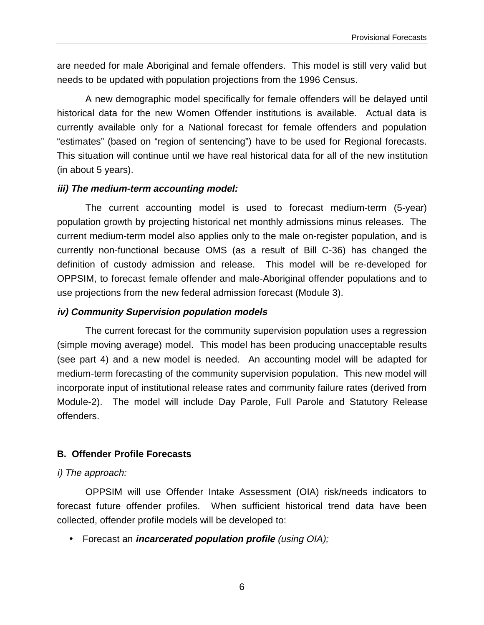are needed for male Aboriginal and female offenders. This model is still very valid but needs to be updated with population projections from the 1996 Census.

A new demographic model specifically for female offenders will be delayed until historical data for the new Women Offender institutions is available. Actual data is currently available only for a National forecast for female offenders and population "estimates" (based on "region of sentencing") have to be used for Regional forecasts. This situation will continue until we have real historical data for all of the new institution (in about 5 years).

# **iii) The medium-term accounting model:**

The current accounting model is used to forecast medium-term (5-year) population growth by projecting historical net monthly admissions minus releases. The current medium-term model also applies only to the male on-register population, and is currently non-functional because OMS (as a result of Bill C-36) has changed the definition of custody admission and release. This model will be re-developed for OPPSIM, to forecast female offender and male-Aboriginal offender populations and to use projections from the new federal admission forecast (Module 3).

### **iv) Community Supervision population models**

The current forecast for the community supervision population uses a regression (simple moving average) model. This model has been producing unacceptable results (see part 4) and a new model is needed. An accounting model will be adapted for medium-term forecasting of the community supervision population. This new model will incorporate input of institutional release rates and community failure rates (derived from Module-2). The model will include Day Parole, Full Parole and Statutory Release offenders.

# **B. Offender Profile Forecasts**

# i) The approach:

OPPSIM will use Offender Intake Assessment (OIA) risk/needs indicators to forecast future offender profiles. When sufficient historical trend data have been collected, offender profile models will be developed to:

• Forecast an **incarcerated population profile** (using OIA);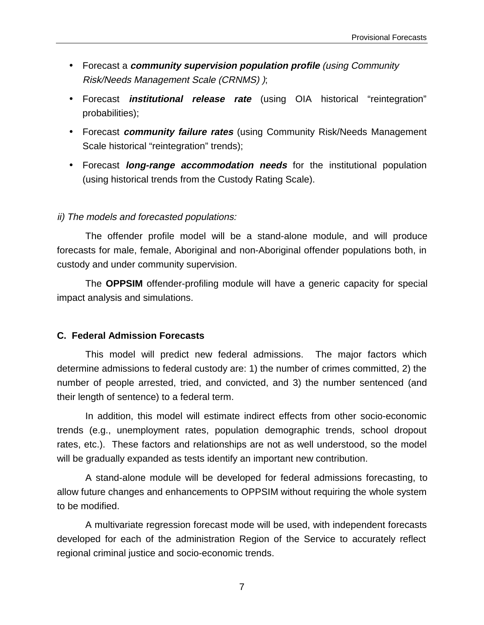- Forecast a **community supervision population profile** (using Community Risk/Needs Management Scale (CRNMS) );
- Forecast **institutional release rate** (using OIA historical "reintegration" probabilities);
- Forecast **community failure rates** (using Community Risk/Needs Management Scale historical "reintegration" trends);
- Forecast **long-range accommodation needs** for the institutional population (using historical trends from the Custody Rating Scale).

#### ii) The models and forecasted populations:

The offender profile model will be a stand-alone module, and will produce forecasts for male, female, Aboriginal and non-Aboriginal offender populations both, in custody and under community supervision.

The **OPPSIM** offender-profiling module will have a generic capacity for special impact analysis and simulations.

#### **C. Federal Admission Forecasts**

This model will predict new federal admissions. The major factors which determine admissions to federal custody are: 1) the number of crimes committed, 2) the number of people arrested, tried, and convicted, and 3) the number sentenced (and their length of sentence) to a federal term.

In addition, this model will estimate indirect effects from other socio-economic trends (e.g., unemployment rates, population demographic trends, school dropout rates, etc.). These factors and relationships are not as well understood, so the model will be gradually expanded as tests identify an important new contribution.

A stand-alone module will be developed for federal admissions forecasting, to allow future changes and enhancements to OPPSIM without requiring the whole system to be modified.

A multivariate regression forecast mode will be used, with independent forecasts developed for each of the administration Region of the Service to accurately reflect regional criminal justice and socio-economic trends.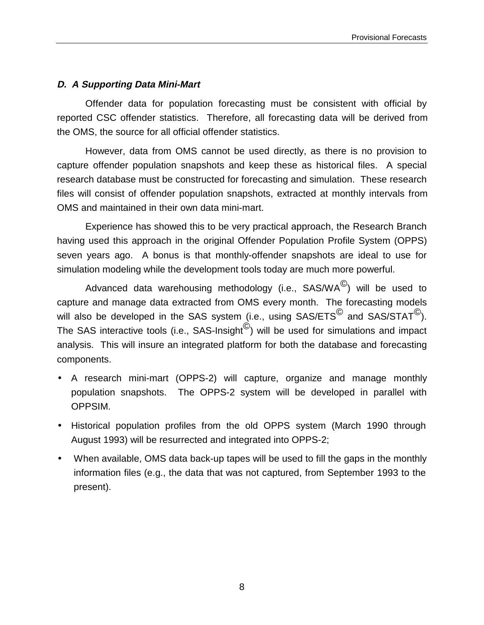# **D. A Supporting Data Mini-Mart**

Offender data for population forecasting must be consistent with official by reported CSC offender statistics. Therefore, all forecasting data will be derived from the OMS, the source for all official offender statistics.

However, data from OMS cannot be used directly, as there is no provision to capture offender population snapshots and keep these as historical files. A special research database must be constructed for forecasting and simulation. These research files will consist of offender population snapshots, extracted at monthly intervals from OMS and maintained in their own data mini-mart.

Experience has showed this to be very practical approach, the Research Branch having used this approach in the original Offender Population Profile System (OPPS) seven years ago. A bonus is that monthly-offender snapshots are ideal to use for simulation modeling while the development tools today are much more powerful.

Advanced data warehousing methodology (i.e.,  $SAS/WA^{\circledcirc}$ ) will be used to capture and manage data extracted from OMS every month. The forecasting models will also be developed in the SAS system (i.e., using  $SAS/ETS^{\textcircled{C}}$  and  $SAS/STAT^{\textcircled{C}}$ ). The SAS interactive tools (i.e., SAS-Insight $^{\circ}$ ) will be used for simulations and impact analysis. This will insure an integrated platform for both the database and forecasting components.

- A research mini-mart (OPPS-2) will capture, organize and manage monthly population snapshots. The OPPS-2 system will be developed in parallel with OPPSIM.
- Historical population profiles from the old OPPS system (March 1990 through August 1993) will be resurrected and integrated into OPPS-2;
- When available, OMS data back-up tapes will be used to fill the gaps in the monthly information files (e.g., the data that was not captured, from September 1993 to the present).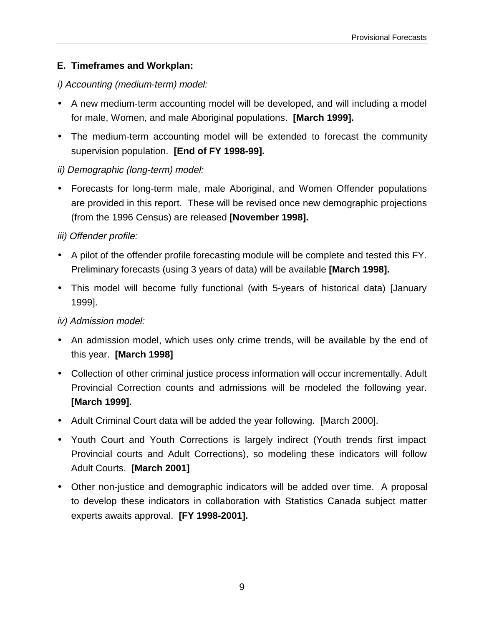# **E. Timeframes and Workplan:**

# i) Accounting (medium-term) model:

- A new medium-term accounting model will be developed, and will including a model for male, Women, and male Aboriginal populations. **[March 1999].**
- The medium-term accounting model will be extended to forecast the community supervision population. **[End of FY 1998-99].**

# ii) Demographic (long-term) model:

• Forecasts for long-term male, male Aboriginal, and Women Offender populations are provided in this report. These will be revised once new demographic projections (from the 1996 Census) are released **[November 1998].**

# iii) Offender profile:

- A pilot of the offender profile forecasting module will be complete and tested this FY. Preliminary forecasts (using 3 years of data) will be available **[March 1998].**
- This model will become fully functional (with 5-years of historical data) [January 1999].

# iv) Admission model:

- An admission model, which uses only crime trends, will be available by the end of this year. **[March 1998]**
- Collection of other criminal justice process information will occur incrementally. Adult Provincial Correction counts and admissions will be modeled the following year. **[March 1999].**
- Adult Criminal Court data will be added the year following. [March 2000].
- Youth Court and Youth Corrections is largely indirect (Youth trends first impact Provincial courts and Adult Corrections), so modeling these indicators will follow Adult Courts. **[March 2001]**
- Other non-justice and demographic indicators will be added over time. A proposal to develop these indicators in collaboration with Statistics Canada subject matter experts awaits approval. **[FY 1998-2001].**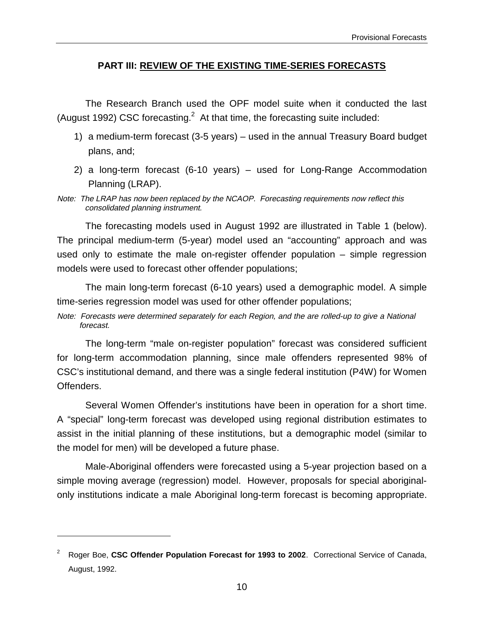### **PART III: REVIEW OF THE EXISTING TIME-SERIES FORECASTS**

The Research Branch used the OPF model suite when it conducted the last (August 1992) CSC forecasting. $^2$  At that time, the forecasting suite included:

- 1) a medium-term forecast (3-5 years) used in the annual Treasury Board budget plans, and;
- 2) a long-term forecast (6-10 years) used for Long-Range Accommodation Planning (LRAP).
- Note: The LRAP has now been replaced by the NCAOP. Forecasting requirements now reflect this consolidated planning instrument.

The forecasting models used in August 1992 are illustrated in Table 1 (below). The principal medium-term (5-year) model used an "accounting" approach and was used only to estimate the male on-register offender population – simple regression models were used to forecast other offender populations;

The main long-term forecast (6-10 years) used a demographic model. A simple time-series regression model was used for other offender populations;

Note: Forecasts were determined separately for each Region, and the are rolled-up to give a National forecast.

The long-term "male on-register population" forecast was considered sufficient for long-term accommodation planning, since male offenders represented 98% of CSC's institutional demand, and there was a single federal institution (P4W) for Women Offenders.

Several Women Offender's institutions have been in operation for a short time. A "special" long-term forecast was developed using regional distribution estimates to assist in the initial planning of these institutions, but a demographic model (similar to the model for men) will be developed a future phase.

Male-Aboriginal offenders were forecasted using a 5-year projection based on a simple moving average (regression) model. However, proposals for special aboriginalonly institutions indicate a male Aboriginal long-term forecast is becoming appropriate.

 $\overline{a}$ 

<sup>2</sup> Roger Boe, **CSC Offender Population Forecast for 1993 to 2002**. Correctional Service of Canada, August, 1992.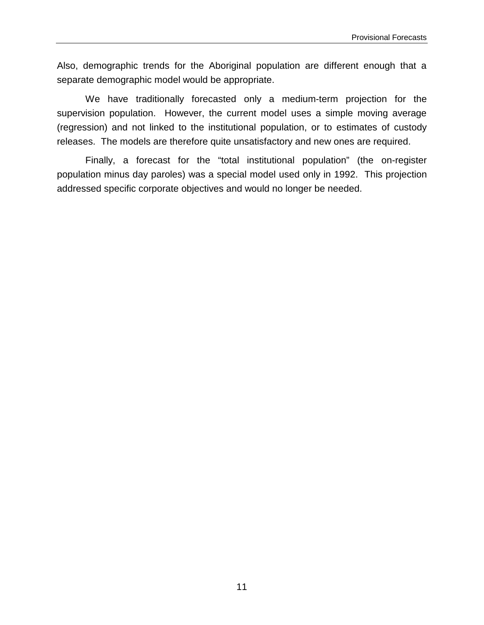Also, demographic trends for the Aboriginal population are different enough that a separate demographic model would be appropriate.

We have traditionally forecasted only a medium-term projection for the supervision population. However, the current model uses a simple moving average (regression) and not linked to the institutional population, or to estimates of custody releases. The models are therefore quite unsatisfactory and new ones are required.

Finally, a forecast for the "total institutional population" (the on-register population minus day paroles) was a special model used only in 1992. This projection addressed specific corporate objectives and would no longer be needed.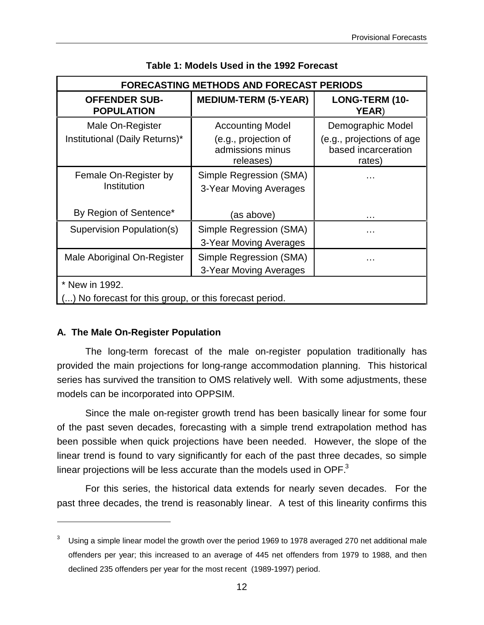| <b>FORECASTING METHODS AND FORECAST PERIODS</b>                        |                                                                                  |                                                                                 |  |  |
|------------------------------------------------------------------------|----------------------------------------------------------------------------------|---------------------------------------------------------------------------------|--|--|
| <b>OFFENDER SUB-</b><br><b>POPULATION</b>                              | <b>MEDIUM-TERM (5-YEAR)</b>                                                      | <b>LONG-TERM (10-</b><br><b>YEAR</b> )                                          |  |  |
| Male On-Register<br>Institutional (Daily Returns)*                     | <b>Accounting Model</b><br>(e.g., projection of<br>admissions minus<br>releases) | Demographic Model<br>(e.g., projections of age<br>based incarceration<br>rates) |  |  |
| Female On-Register by<br>Institution                                   | Simple Regression (SMA)<br>3-Year Moving Averages                                |                                                                                 |  |  |
| By Region of Sentence*                                                 | (as above)                                                                       | .                                                                               |  |  |
| Supervision Population(s)                                              | Simple Regression (SMA)<br>3-Year Moving Averages                                | .                                                                               |  |  |
| Male Aboriginal On-Register                                            | Simple Regression (SMA)<br>3-Year Moving Averages                                | .                                                                               |  |  |
| * New in 1992.<br>No forecast for this group, or this forecast period. |                                                                                  |                                                                                 |  |  |

**Table 1: Models Used in the 1992 Forecast**

#### **A. The Male On-Register Population**

 $\overline{a}$ 

The long-term forecast of the male on-register population traditionally has provided the main projections for long-range accommodation planning. This historical series has survived the transition to OMS relatively well. With some adjustments, these models can be incorporated into OPPSIM.

Since the male on-register growth trend has been basically linear for some four of the past seven decades, forecasting with a simple trend extrapolation method has been possible when quick projections have been needed. However, the slope of the linear trend is found to vary significantly for each of the past three decades, so simple linear projections will be less accurate than the models used in OPF. $3$ 

For this series, the historical data extends for nearly seven decades. For the past three decades, the trend is reasonably linear. A test of this linearity confirms this

<sup>3</sup> Using a simple linear model the growth over the period 1969 to 1978 averaged 270 net additional male offenders per year; this increased to an average of 445 net offenders from 1979 to 1988, and then declined 235 offenders per year for the most recent (1989-1997) period.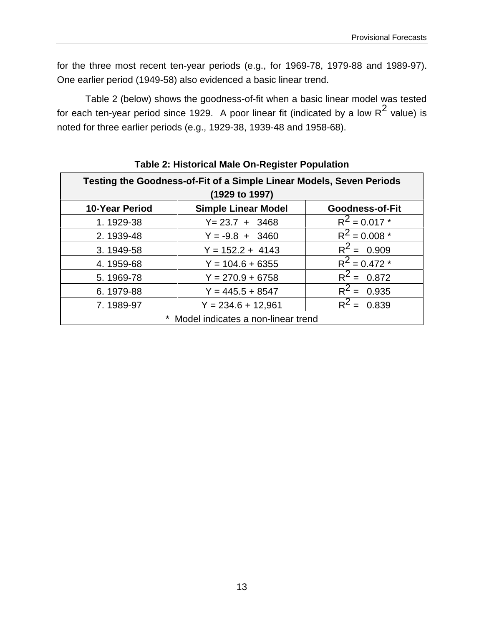for the three most recent ten-year periods (e.g., for 1969-78, 1979-88 and 1989-97). One earlier period (1949-58) also evidenced a basic linear trend.

Table 2 (below) shows the goodness-of-fit when a basic linear model was tested for each ten-year period since 1929. A poor linear fit (indicated by a low  $R^2$  value) is noted for three earlier periods (e.g., 1929-38, 1939-48 and 1958-68).

| Testing the Goodness-of-Fit of a Simple Linear Models, Seven Periods<br>(1929 to 1997) |                                                      |                    |  |  |  |  |
|----------------------------------------------------------------------------------------|------------------------------------------------------|--------------------|--|--|--|--|
| <b>10-Year Period</b>                                                                  | <b>Simple Linear Model</b><br><b>Goodness-of-Fit</b> |                    |  |  |  |  |
| 1.1929-38                                                                              | $Y = 23.7 + 3468$                                    | $R^2$ = 0.017 *    |  |  |  |  |
| 2.1939-48                                                                              | $Y = -9.8 + 3460$                                    | $R^2$ = 0.008 $^*$ |  |  |  |  |
| 3.1949-58                                                                              | $Y = 152.2 + 4143$                                   | $R^2 = 0.909$      |  |  |  |  |
| 4.1959-68                                                                              | $Y = 104.6 + 6355$                                   | $R^2$ = 0.472 $^*$ |  |  |  |  |
| 5.1969-78                                                                              | $Y = 270.9 + 6758$                                   | $R^2 = 0.872$      |  |  |  |  |
| 6.1979-88                                                                              | $Y = 445.5 + 8547$                                   | $R^2 = 0.935$      |  |  |  |  |
| 7.1989-97                                                                              | $Y = 234.6 + 12,961$                                 | $R^2$<br>0.839     |  |  |  |  |
| Model indicates a non-linear trend                                                     |                                                      |                    |  |  |  |  |

# **Table 2: Historical Male On-Register Population**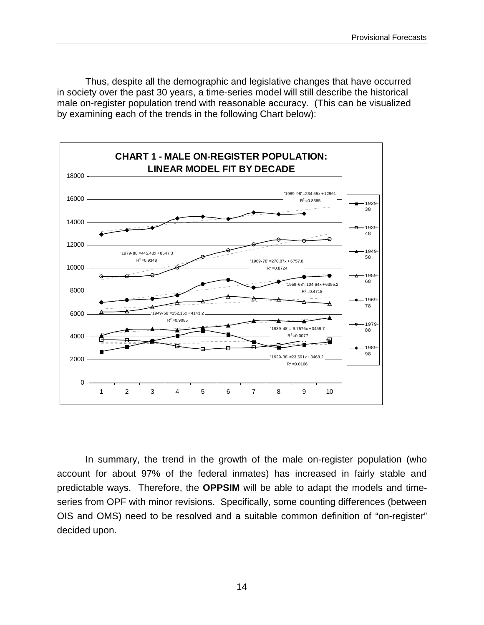Thus, despite all the demographic and legislative changes that have occurred in society over the past 30 years, a time-series model will still describe the historical male on-register population trend with reasonable accuracy. (This can be visualized by examining each of the trends in the following Chart below):



In summary, the trend in the growth of the male on-register population (who account for about 97% of the federal inmates) has increased in fairly stable and predictable ways. Therefore, the **OPPSIM** will be able to adapt the models and timeseries from OPF with minor revisions. Specifically, some counting differences (between OIS and OMS) need to be resolved and a suitable common definition of "on-register" decided upon.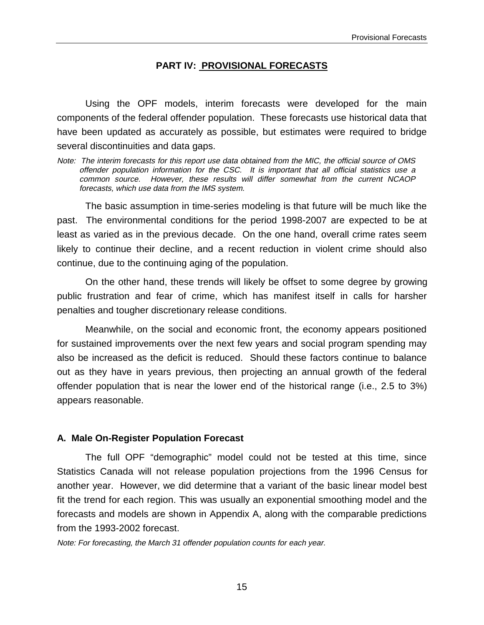#### **PART IV: PROVISIONAL FORECASTS**

Using the OPF models, interim forecasts were developed for the main components of the federal offender population. These forecasts use historical data that have been updated as accurately as possible, but estimates were required to bridge several discontinuities and data gaps.

Note: The interim forecasts for this report use data obtained from the MIC, the official source of OMS offender population information for the CSC. It is important that all official statistics use a common source. However, these results will differ somewhat from the current NCAOP forecasts, which use data from the IMS system.

The basic assumption in time-series modeling is that future will be much like the past. The environmental conditions for the period 1998-2007 are expected to be at least as varied as in the previous decade. On the one hand, overall crime rates seem likely to continue their decline, and a recent reduction in violent crime should also continue, due to the continuing aging of the population.

On the other hand, these trends will likely be offset to some degree by growing public frustration and fear of crime, which has manifest itself in calls for harsher penalties and tougher discretionary release conditions.

Meanwhile, on the social and economic front, the economy appears positioned for sustained improvements over the next few years and social program spending may also be increased as the deficit is reduced. Should these factors continue to balance out as they have in years previous, then projecting an annual growth of the federal offender population that is near the lower end of the historical range (i.e., 2.5 to 3%) appears reasonable.

#### **A. Male On-Register Population Forecast**

The full OPF "demographic" model could not be tested at this time, since Statistics Canada will not release population projections from the 1996 Census for another year. However, we did determine that a variant of the basic linear model best fit the trend for each region. This was usually an exponential smoothing model and the forecasts and models are shown in Appendix A, along with the comparable predictions from the 1993-2002 forecast.

Note: For forecasting, the March 31 offender population counts for each year.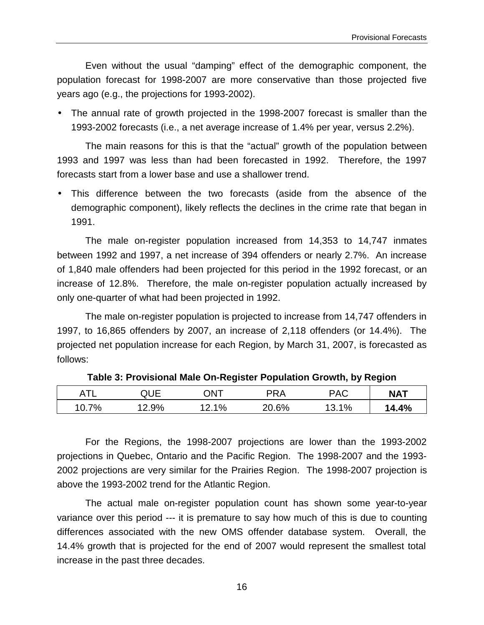Even without the usual "damping" effect of the demographic component, the population forecast for 1998-2007 are more conservative than those projected five years ago (e.g., the projections for 1993-2002).

• The annual rate of growth projected in the 1998-2007 forecast is smaller than the 1993-2002 forecasts (i.e., a net average increase of 1.4% per year, versus 2.2%).

The main reasons for this is that the "actual" growth of the population between 1993 and 1997 was less than had been forecasted in 1992. Therefore, the 1997 forecasts start from a lower base and use a shallower trend.

• This difference between the two forecasts (aside from the absence of the demographic component), likely reflects the declines in the crime rate that began in 1991.

The male on-register population increased from 14,353 to 14,747 inmates between 1992 and 1997, a net increase of 394 offenders or nearly 2.7%. An increase of 1,840 male offenders had been projected for this period in the 1992 forecast, or an increase of 12.8%. Therefore, the male on-register population actually increased by only one-quarter of what had been projected in 1992.

The male on-register population is projected to increase from 14,747 offenders in 1997, to 16,865 offenders by 2007, an increase of 2,118 offenders (or 14.4%). The projected net population increase for each Region, by March 31, 2007, is forecasted as follows:

| ٠πι<br>Δ | QUE  | <b>ONT</b> | PRA   | PAC  | <b>NAT</b> |
|----------|------|------------|-------|------|------------|
| 10.7%    | 2.9% | $1\%$      | 20.6% | 3.1% | 14.4%      |

**Table 3: Provisional Male On-Register Population Growth, by Region**

For the Regions, the 1998-2007 projections are lower than the 1993-2002 projections in Quebec, Ontario and the Pacific Region. The 1998-2007 and the 1993- 2002 projections are very similar for the Prairies Region. The 1998-2007 projection is above the 1993-2002 trend for the Atlantic Region.

The actual male on-register population count has shown some year-to-year variance over this period --- it is premature to say how much of this is due to counting differences associated with the new OMS offender database system. Overall, the 14.4% growth that is projected for the end of 2007 would represent the smallest total increase in the past three decades.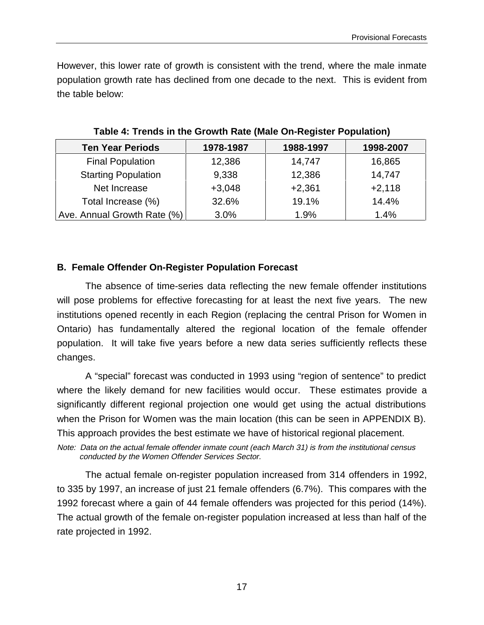However, this lower rate of growth is consistent with the trend, where the male inmate population growth rate has declined from one decade to the next. This is evident from the table below:

| <b>Ten Year Periods</b>     | 1978-1987 | 1988-1997 | 1998-2007 |
|-----------------------------|-----------|-----------|-----------|
| <b>Final Population</b>     | 12,386    | 14,747    | 16,865    |
| <b>Starting Population</b>  | 9,338     | 12,386    | 14,747    |
| Net Increase                | $+3,048$  | $+2,361$  | $+2,118$  |
| Total Increase (%)          | 32.6%     | 19.1%     | 14.4%     |
| Ave. Annual Growth Rate (%) | 3.0%      | 1.9%      | 1.4%      |

**Table 4: Trends in the Growth Rate (Male On-Register Population)**

### **B. Female Offender On-Register Population Forecast**

The absence of time-series data reflecting the new female offender institutions will pose problems for effective forecasting for at least the next five years. The new institutions opened recently in each Region (replacing the central Prison for Women in Ontario) has fundamentally altered the regional location of the female offender population. It will take five years before a new data series sufficiently reflects these changes.

A "special" forecast was conducted in 1993 using "region of sentence" to predict where the likely demand for new facilities would occur. These estimates provide a significantly different regional projection one would get using the actual distributions when the Prison for Women was the main location (this can be seen in APPENDIX B). This approach provides the best estimate we have of historical regional placement.

Note: Data on the actual female offender inmate count (each March 31) is from the institutional census conducted by the Women Offender Services Sector.

The actual female on-register population increased from 314 offenders in 1992, to 335 by 1997, an increase of just 21 female offenders (6.7%). This compares with the 1992 forecast where a gain of 44 female offenders was projected for this period (14%). The actual growth of the female on-register population increased at less than half of the rate projected in 1992.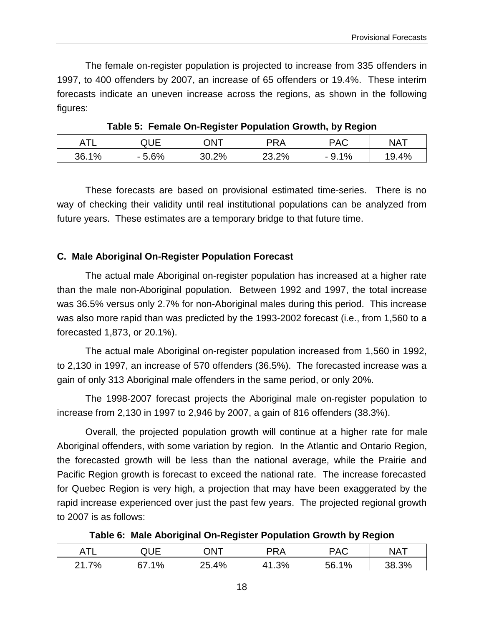The female on-register population is projected to increase from 335 offenders in 1997, to 400 offenders by 2007, an increase of 65 offenders or 19.4%. These interim forecasts indicate an uneven increase across the regions, as shown in the following figures:

|       |           | . .        |       | . .<br>$\tilde{\phantom{a}}$             |            |
|-------|-----------|------------|-------|------------------------------------------|------------|
| Ŧ     | ືືື       | <b>JNT</b> | PRA   | <b>PAC</b>                               | <b>NAT</b> |
| 36.1% | 5.6%<br>- | .2%        | 23.2% | $1\%$<br>$\overline{\phantom{0}}$<br>◡ ・ | 4%<br>'9   |

**Table 5: Female On-Register Population Growth, by Region**

These forecasts are based on provisional estimated time-series. There is no way of checking their validity until real institutional populations can be analyzed from future years. These estimates are a temporary bridge to that future time.

# **C. Male Aboriginal On-Register Population Forecast**

The actual male Aboriginal on-register population has increased at a higher rate than the male non-Aboriginal population. Between 1992 and 1997, the total increase was 36.5% versus only 2.7% for non-Aboriginal males during this period. This increase was also more rapid than was predicted by the 1993-2002 forecast (i.e., from 1,560 to a forecasted 1,873, or 20.1%).

The actual male Aboriginal on-register population increased from 1,560 in 1992, to 2,130 in 1997, an increase of 570 offenders (36.5%). The forecasted increase was a gain of only 313 Aboriginal male offenders in the same period, or only 20%.

The 1998-2007 forecast projects the Aboriginal male on-register population to increase from 2,130 in 1997 to 2,946 by 2007, a gain of 816 offenders (38.3%).

Overall, the projected population growth will continue at a higher rate for male Aboriginal offenders, with some variation by region. In the Atlantic and Ontario Region, the forecasted growth will be less than the national average, while the Prairie and Pacific Region growth is forecast to exceed the national rate. The increase forecasted for Quebec Region is very high, a projection that may have been exaggerated by the rapid increase experienced over just the past few years. The projected regional growth to 2007 is as follows:

| Table 6: Male Aboriginal On-Register Population Growth by Region |  |  |
|------------------------------------------------------------------|--|--|
|                                                                  |  |  |

| . <del>. .</del> .<br>. | $\overline{\phantom{0}}$ | TNC | רRA       | PAC | <b>NAT</b> |
|-------------------------|--------------------------|-----|-----------|-----|------------|
| 7%<br>ົາ 1              | 1%                       | 4%  | 3%<br>. ب | 1%  | 20/        |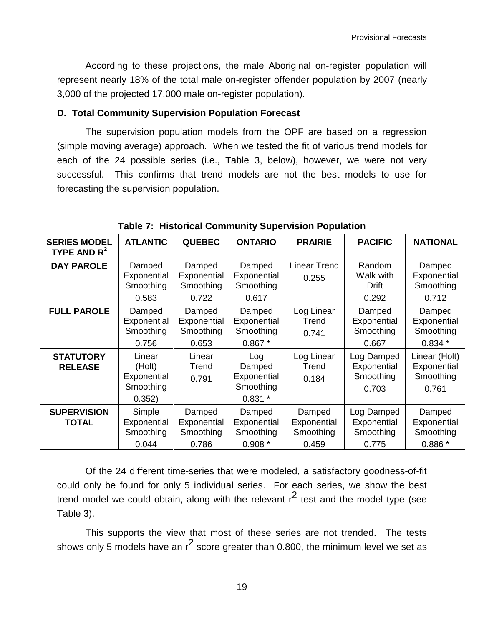According to these projections, the male Aboriginal on-register population will represent nearly 18% of the total male on-register offender population by 2007 (nearly 3,000 of the projected 17,000 male on-register population).

### **D. Total Community Supervision Population Forecast**

The supervision population models from the OPF are based on a regression (simple moving average) approach. When we tested the fit of various trend models for each of the 24 possible series (i.e., Table 3, below), however, we were not very successful. This confirms that trend models are not the best models to use for forecasting the supervision population.

| <b>SERIES MODEL</b><br>TYPE AND $R^2$ | <b>ATLANTIC</b>                                        | <b>QUEBEC</b>                               | <b>ONTARIO</b>                                        | <b>PRAIRIE</b>                              | <b>PACIFIC</b>                                  | <b>NATIONAL</b>                                    |
|---------------------------------------|--------------------------------------------------------|---------------------------------------------|-------------------------------------------------------|---------------------------------------------|-------------------------------------------------|----------------------------------------------------|
| <b>DAY PAROLE</b>                     | Damped<br>Exponential<br>Smoothing<br>0.583            | Damped<br>Exponential<br>Smoothing<br>0.722 | Damped<br>Exponential<br>Smoothing<br>0.617           | <b>Linear Trend</b><br>0.255                | Random<br>Walk with<br>Drift<br>0.292           | Damped<br>Exponential<br>Smoothing<br>0.712        |
| <b>FULL PAROLE</b>                    | Damped<br>Exponential<br>Smoothing<br>0.756            | Damped<br>Exponential<br>Smoothing<br>0.653 | Damped<br>Exponential<br>Smoothing<br>$0.867*$        | Log Linear<br>Trend<br>0.741                | Damped<br>Exponential<br>Smoothing<br>0.667     | Damped<br>Exponential<br>Smoothing<br>$0.834*$     |
| <b>STATUTORY</b><br><b>RELEASE</b>    | Linear<br>(Holt)<br>Exponential<br>Smoothing<br>0.352) | Linear<br>Trend<br>0.791                    | Log<br>Damped<br>Exponential<br>Smoothing<br>$0.831*$ | Log Linear<br>Trend<br>0.184                | Log Damped<br>Exponential<br>Smoothing<br>0.703 | Linear (Holt)<br>Exponential<br>Smoothing<br>0.761 |
| <b>SUPERVISION</b><br><b>TOTAL</b>    | Simple<br>Exponential<br>Smoothing<br>0.044            | Damped<br>Exponential<br>Smoothing<br>0.786 | Damped<br>Exponential<br>Smoothing<br>$0.908*$        | Damped<br>Exponential<br>Smoothing<br>0.459 | Log Damped<br>Exponential<br>Smoothing<br>0.775 | Damped<br>Exponential<br>Smoothing<br>$0.886*$     |

**Table 7: Historical Community Supervision Population**

Of the 24 different time-series that were modeled, a satisfactory goodness-of-fit could only be found for only 5 individual series. For each series, we show the best trend model we could obtain, along with the relevant  $r^2$  test and the model type (see Table 3).

This supports the view that most of these series are not trended. The tests shows only 5 models have an  $r^2$  score greater than 0.800, the minimum level we set as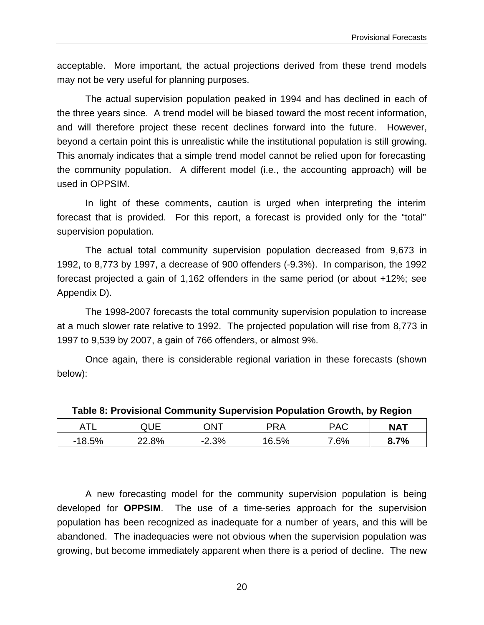acceptable. More important, the actual projections derived from these trend models may not be very useful for planning purposes.

The actual supervision population peaked in 1994 and has declined in each of the three years since. A trend model will be biased toward the most recent information, and will therefore project these recent declines forward into the future. However, beyond a certain point this is unrealistic while the institutional population is still growing. This anomaly indicates that a simple trend model cannot be relied upon for forecasting the community population. A different model (i.e., the accounting approach) will be used in OPPSIM.

In light of these comments, caution is urged when interpreting the interim forecast that is provided. For this report, a forecast is provided only for the "total" supervision population.

The actual total community supervision population decreased from 9,673 in 1992, to 8,773 by 1997, a decrease of 900 offenders (-9.3%). In comparison, the 1992 forecast projected a gain of 1,162 offenders in the same period (or about +12%; see Appendix D).

The 1998-2007 forecasts the total community supervision population to increase at a much slower rate relative to 1992. The projected population will rise from 8,773 in 1997 to 9,539 by 2007, a gain of 766 offenders, or almost 9%.

Once again, there is considerable regional variation in these forecasts (shown below):

|          | QUE.     | TNC     | PRA   | <b>PAC</b> | <b>NAT</b> |  |  |
|----------|----------|---------|-------|------------|------------|--|--|
| $-18.5%$ | $22.8\%$ | $-2.3%$ | 16.5% | 7.6%       | 8.7%       |  |  |

**Table 8: Provisional Community Supervision Population Growth, by Region**

A new forecasting model for the community supervision population is being developed for **OPPSIM**. The use of a time-series approach for the supervision population has been recognized as inadequate for a number of years, and this will be abandoned. The inadequacies were not obvious when the supervision population was growing, but become immediately apparent when there is a period of decline. The new